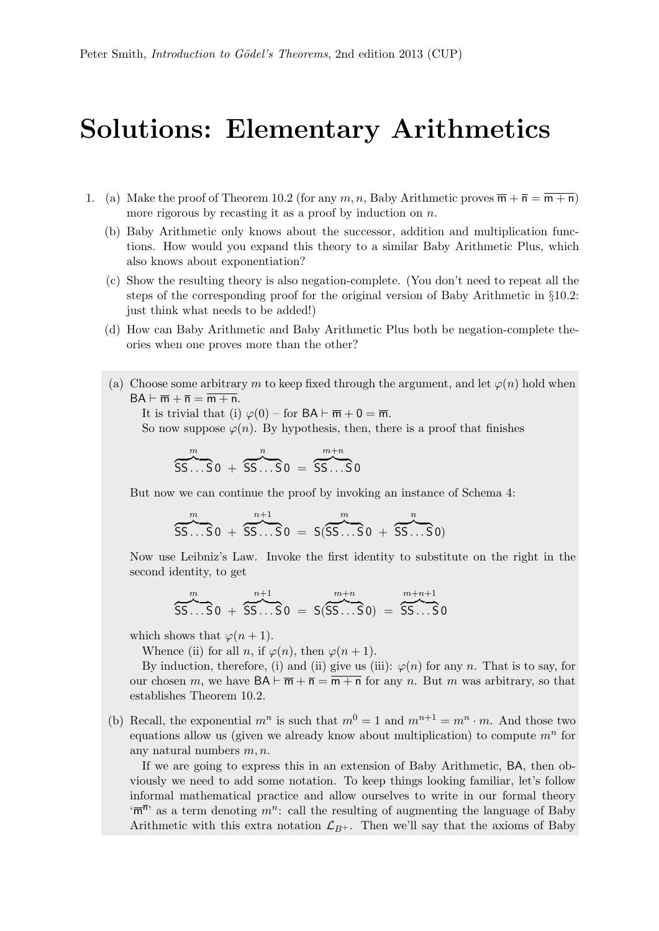## Solutions: Elementary Arithmetics

- 1. (a) Make the proof of Theorem 10.2 (for any m, n, Baby Arithmetic proves  $\overline{m} + \overline{n} = \overline{m + n}$ ) more rigorous by recasting it as a proof by induction on  $n$ .
	- (b) Baby Arithmetic only knows about the successor, addition and multiplication functions. How would you expand this theory to a similar Baby Arithmetic Plus, which also knows about exponentiation?
	- (c) Show the resulting theory is also negation-complete. (You don't need to repeat all the steps of the corresponding proof for the original version of Baby Arithmetic in §10.2: just think what needs to be added!)
	- (d) How can Baby Arithmetic and Baby Arithmetic Plus both be negation-complete theories when one proves more than the other?
	- (a) Choose some arbitrary m to keep fixed through the argument, and let  $\varphi(n)$  hold when  $BA \vdash \overline{m} + \overline{n} = \overline{m + n}.$

It is trivial that (i)  $\varphi(0)$  – for  $BA \vdash \overline{m} + 0 = \overline{m}$ .

So now suppose  $\varphi(n)$ . By hypothesis, then, there is a proof that finishes

$$
\overbrace{SS...SO}^{m} + \overbrace{SS...SO}^{n} = \overbrace{SS...SO}^{m+n}
$$

But now we can continue the proof by invoking an instance of Schema 4:

$$
\overbrace{SS...}^{m}S0 + \overbrace{SS...}^{n+1}S0 = S(SS...S0 + \overbrace{SS...}^{n}S0)
$$

Now use Leibniz's Law. Invoke the first identity to substitute on the right in the second identity, to get

$$
\overbrace{SS...}^{m} S \overbrace{SS...}^{n+1} S \overbrace{OS...}^{n+m} S \overbrace{SS...}^{m+n} S \overbrace{OS...}^{m+n+1} S \overbrace{SS...}^{n}
$$

which shows that  $\varphi(n+1)$ .

Whence (ii) for all n, if  $\varphi(n)$ , then  $\varphi(n+1)$ .

By induction, therefore, (i) and (ii) give us (iii):  $\varphi(n)$  for any n. That is to say, for our chosen m, we have  $BA \vdash \overline{m} + \overline{n} = \overline{m + n}$  for any n. But m was arbitrary, so that establishes Theorem 10.2.

(b) Recall, the exponential  $m^n$  is such that  $m^0 = 1$  and  $m^{n+1} = m^n \cdot m$ . And those two equations allow us (given we already know about multiplication) to compute  $m^n$  for any natural numbers  $m, n$ .

If we are going to express this in an extension of Baby Arithmetic, BA, then obviously we need to add some notation. To keep things looking familiar, let's follow informal mathematical practice and allow ourselves to write in our formal theory  $\overline{m}^{\overline{n}}$  as a term denoting  $m^n$ : call the resulting of augmenting the language of Baby Arithmetic with this extra notation  $\mathcal{L}_{B+}$ . Then we'll say that the axioms of Baby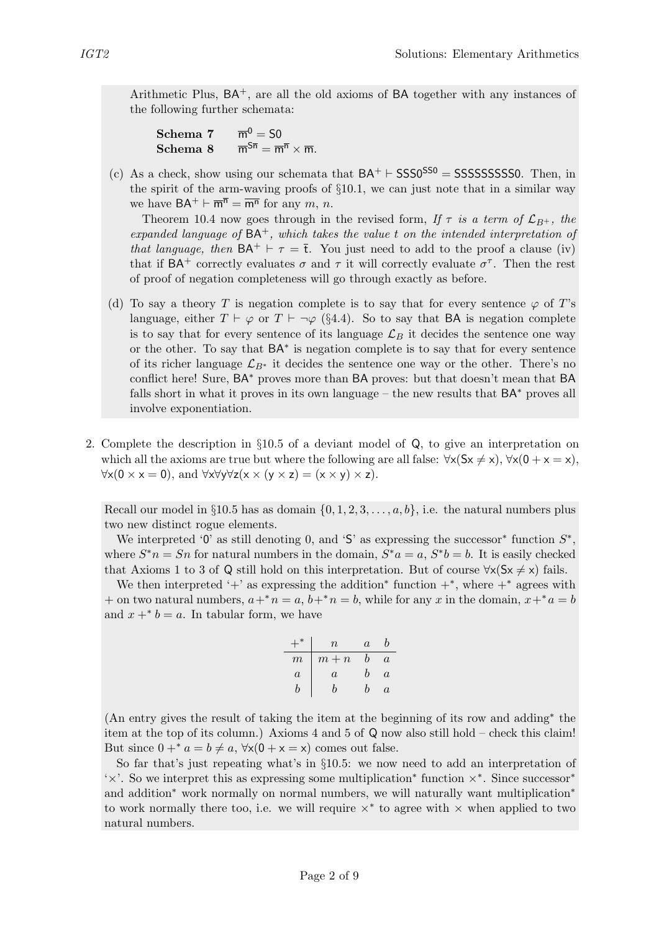Arithmetic Plus,  $BA^+$ , are all the old axioms of  $BA$  together with any instances of the following further schemata:

| Schema 7 | $\overline{m}^0 = S0$                                                            |
|----------|----------------------------------------------------------------------------------|
| Schema 8 | $\overline{m}^{S\overline{n}} = \overline{m}^{\overline{n}} \times \overline{m}$ |

(c) As a check, show using our schemata that  $BA^+ \vdash SSS0^{SS0} = SSSSSSSSSS$ . Then, in the spirit of the arm-waving proofs of §10.1, we can just note that in a similar way we have  $BA^+ \vdash \overline{m}^{\overline{n}} = \overline{m}^{\overline{n}}$  for any m, n.

Theorem 10.4 now goes through in the revised form, If  $\tau$  is a term of  $\mathcal{L}_{B+}$ , the expanded language of  $BA^+$ , which takes the value t on the intended interpretation of that language, then  $BA^+ \vdash \tau = \overline{t}$ . You just need to add to the proof a clause (iv) that if  $BA^+$  correctly evaluates  $\sigma$  and  $\tau$  it will correctly evaluate  $\sigma^{\tau}$ . Then the rest of proof of negation completeness will go through exactly as before.

- (d) To say a theory T is negation complete is to say that for every sentence  $\varphi$  of T's language, either  $T \vdash \varphi$  or  $T \vdash \neg \varphi$  (§4.4). So to say that **BA** is negation complete is to say that for every sentence of its language  $\mathcal{L}_B$  it decides the sentence one way or the other. To say that BA<sup>∗</sup> is negation complete is to say that for every sentence of its richer language  $\mathcal{L}_{B^*}$  it decides the sentence one way or the other. There's no conflict here! Sure, BA<sup>∗</sup> proves more than BA proves: but that doesn't mean that BA falls short in what it proves in its own language – the new results that  $BA<sup>*</sup>$  proves all involve exponentiation.
- 2. Complete the description in §10.5 of a deviant model of Q, to give an interpretation on which all the axioms are true but where the following are all false:  $\forall x (Sx \neq x), \forall x (0 + x = x)$ ,  $\forall x (0 \times x = 0)$ , and  $\forall x \forall y \forall z (x \times (y \times z) = (x \times y) \times z)$ .

Recall our model in §10.5 has as domain  $\{0, 1, 2, 3, \ldots, a, b\}$ , i.e. the natural numbers plus two new distinct rogue elements.

We interpreted '0' as still denoting 0, and 'S' as expressing the successor<sup>\*</sup> function  $S^*$ , where  $S^*n = Sn$  for natural numbers in the domain,  $S^*a = a$ ,  $S^*b = b$ . It is easily checked that Axioms 1 to 3 of Q still hold on this interpretation. But of course  $\forall x(Sx \neq x)$  fails.

We then interpreted '+' as expressing the addition<sup>\*</sup> function  $+^*$ , where  $+^*$  agrees with + on two natural numbers,  $a+^{*}n = a$ ,  $b+^{*}n = b$ , while for any x in the domain,  $x+^{*}a = b$ and  $x + b = a$ . In tabular form, we have

| ×                | $\boldsymbol{n}$ | $\alpha$ | n        |
|------------------|------------------|----------|----------|
| $\boldsymbol{m}$ | $m + n$          | h        | $\alpha$ |
| $\overline{a}$   | $\alpha$         | h        | $\alpha$ |
| h                | h                | h        | $\alpha$ |

(An entry gives the result of taking the item at the beginning of its row and adding<sup>∗</sup> the item at the top of its column.) Axioms 4 and 5 of Q now also still hold – check this claim! But since  $0 + * a = b \neq a$ ,  $\forall x(0 + x = x)$  comes out false.

So far that's just repeating what's in §10.5: we now need to add an interpretation of '×'. So we interpret this as expressing some multiplication<sup>∗</sup> function ×<sup>∗</sup> . Since successor<sup>∗</sup> and addition<sup>∗</sup> work normally on normal numbers, we will naturally want multiplication<sup>∗</sup> to work normally there too, i.e. we will require  $\times^*$  to agree with  $\times$  when applied to two natural numbers.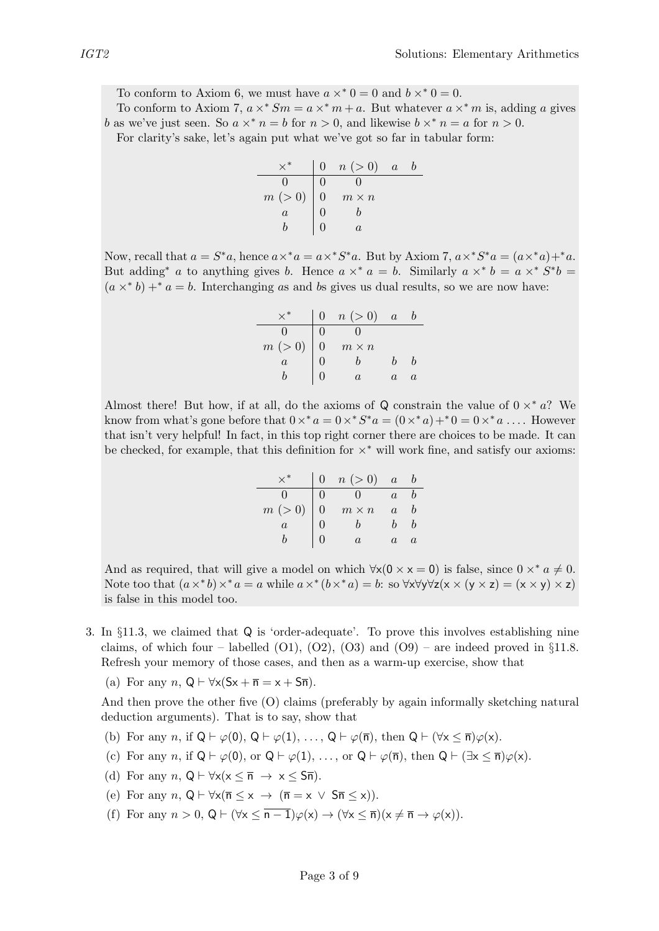To conform to Axiom 6, we must have  $a \times^* 0 = 0$  and  $b \times^* 0 = 0$ .

To conform to Axiom 7,  $a \times^* S_m = a \times^* m + a$ . But whatever  $a \times^* m$  is, adding a gives b as we've just seen. So  $a \times^* n = b$  for  $n > 0$ , and likewise  $b \times^* n = a$  for  $n > 0$ .

For clarity's sake, let's again put what we've got so far in tabular form:

|                | n (> 0)      | $\overline{a}$ |  |
|----------------|--------------|----------------|--|
|                |              |                |  |
| $m(>0)$ 0      | $m \times n$ |                |  |
| $\overline{a}$ |              |                |  |
|                | A.           |                |  |

Now, recall that  $a = S^*a$ , hence  $a \times^* a = a \times^* S^* a$ . But by Axiom 7,  $a \times^* S^* a = (a \times^* a) +^* a$ . But adding<sup>\*</sup> a to anything gives b. Hence  $a \times^* a = b$ . Similarly  $a \times^* b = a \times^* S^* b =$  $(a \times^* b) +^* a = b$ . Interchanging as and bs gives us dual results, so we are now have:

|                | n (> 0)      | $\alpha$ |  |
|----------------|--------------|----------|--|
|                |              |          |  |
| m(>0)          | $m \times n$ |          |  |
| $\overline{a}$ |              |          |  |
|                |              |          |  |

Almost there! But how, if at all, do the axioms of Q constrain the value of  $0 \times^* a$ ? We know from what's gone before that  $0 \times^* a = 0 \times^* S^* a = (0 \times^* a) +^* 0 = 0 \times^* a \dots$ . However that isn't very helpful! In fact, in this top right corner there are choices to be made. It can be checked, for example, that this definition for  $\times^*$  will work fine, and satisfy our axioms:

|                |                | n (> 0)      | $\overline{a}$ |  |
|----------------|----------------|--------------|----------------|--|
| $\mathbf{0}$   |                |              | $\overline{a}$ |  |
| m (> 0)        | $\overline{0}$ | $m \times n$ | $\overline{a}$ |  |
| $\overline{a}$ |                |              |                |  |
|                |                |              | $\alpha$       |  |

And as required, that will give a model on which  $\forall x(0 \times x = 0)$  is false, since  $0 \times^* a \neq 0$ . Note too that  $(a \times^* b) \times^* a = a$  while  $a \times^* (b \times^* a) = b$ : so  $\forall x \forall y \forall z (x \times (y \times z) = (x \times y) \times z)$ is false in this model too.

- 3. In §11.3, we claimed that Q is 'order-adequate'. To prove this involves establishing nine claims, of which four – labelled  $(01)$ ,  $(02)$ ,  $(03)$  and  $(09)$  – are indeed proved in §11.8. Refresh your memory of those cases, and then as a warm-up exercise, show that
	- (a) For any  $n, Q \vdash \forall x (Sx + \overline{n} = x + S\overline{n}).$

And then prove the other five (O) claims (preferably by again informally sketching natural deduction arguments). That is to say, show that

- (b) For any n, if  $Q \vdash \varphi(0), Q \vdash \varphi(1), \ldots, Q \vdash \varphi(\overline{n}),$  then  $Q \vdash (\forall x \leq \overline{n})\varphi(x)$ .
- (c) For any n, if  $Q \vdash \varphi(0)$ , or  $Q \vdash \varphi(1), \ldots$ , or  $Q \vdash \varphi(\overline{n})$ , then  $Q \vdash (\exists x \leq \overline{n}) \varphi(x)$ .
- (d) For any  $n, Q \vdash \forall x (x \leq \overline{n} \rightarrow x \leq S\overline{n}).$
- (e) For any  $n, Q \vdash \forall x (\overline{n} \leq x \rightarrow (\overline{n} = x \lor S\overline{n} \leq x)).$
- (f) For any  $n > 0$ ,  $Q \vdash (\forall x \leq \overline{n-1})\varphi(x) \rightarrow (\forall x \leq \overline{n})(x \neq \overline{n} \rightarrow \varphi(x)).$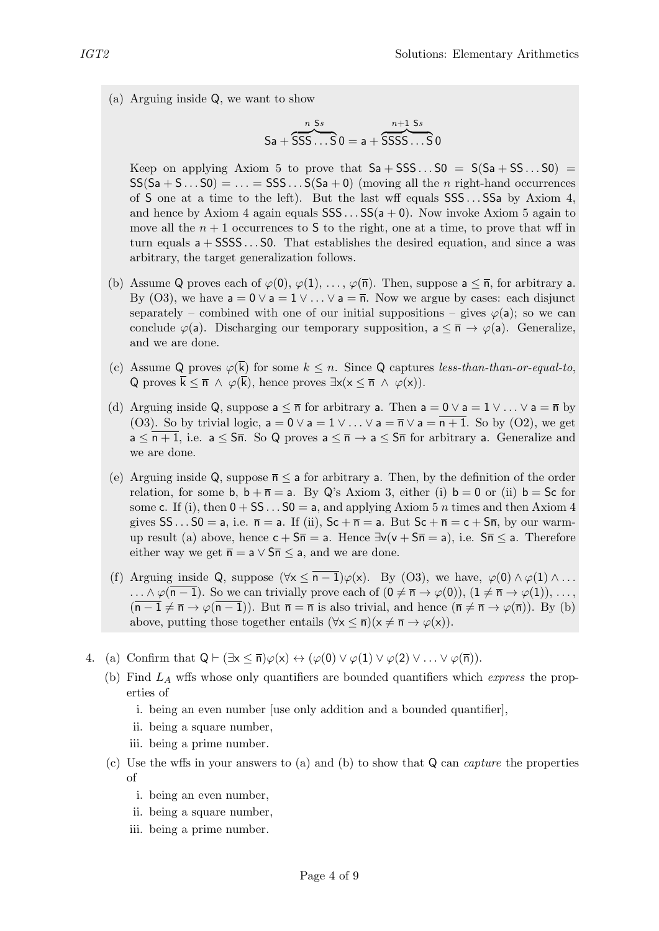(a) Arguing inside Q, we want to show

$$
Sa + \overbrace{SSSS\ldots S}^{n \text{ S}s} 0 = a + \overbrace{SSSSS\ldots S}^{n+1 \text{ S}s} 0
$$

Keep on applying Axiom 5 to prove that  $Sa + SSS...S0 = S(Sa + SS...S0)$  $SS(Sa + S... S0) = ... = SSS... S(Sa + 0)$  (moving all the *n* right-hand occurrences of S one at a time to the left). But the last wff equals SSS . . . SSa by Axiom 4, and hence by Axiom 4 again equals  $SSS \dots SS(a + 0)$ . Now invoke Axiom 5 again to move all the  $n + 1$  occurrences to S to the right, one at a time, to prove that wff in turn equals  $a + SSSS...S0$ . That establishes the desired equation, and since a was arbitrary, the target generalization follows.

- (b) Assume Q proves each of  $\varphi(0), \varphi(1), \ldots, \varphi(\overline{n})$ . Then, suppose  $a \leq \overline{n}$ , for arbitrary a. By (O3), we have  $a = 0 \vee a = 1 \vee ... \vee a = \overline{n}$ . Now we argue by cases: each disjunct separately – combined with one of our initial suppositions – gives  $\varphi(a)$ ; so we can conclude  $\varphi(a)$ . Discharging our temporary supposition,  $a \leq \bar{n} \to \varphi(a)$ . Generalize, and we are done.
- (c) Assume Q proves  $\varphi(\overline{k})$  for some  $k \leq n$ . Since Q captures less-than-than-or-equal-to, Q proves  $\bar{k} \leq \bar{n} \wedge \varphi(\bar{k})$ , hence proves  $\exists x(x \leq \bar{n} \wedge \varphi(x))$ .
- (d) Arguing inside Q, suppose  $a \leq \bar{n}$  for arbitrary a. Then  $a = 0 \vee a = 1 \vee ... \vee a = \bar{n}$  by (O3). So by trivial logic,  $a = 0 \vee a = 1 \vee ... \vee a = \overline{n} \vee a = \overline{n+1}$ . So by (O2), we get  $a \leq \overline{n+1}$ , i.e.  $a \leq \overline{5n}$ . So Q proves  $a \leq \overline{n} \rightarrow a \leq \overline{5n}$  for arbitrary a. Generalize and we are done.
- (e) Arguing inside Q, suppose  $\bar{n} \le a$  for arbitrary a. Then, by the definition of the order relation, for some b,  $b + \overline{n} = a$ . By Q's Axiom 3, either (i)  $b = 0$  or (ii)  $b = Sc$  for some c. If (i), then  $0 + SS \dots SO = a$ , and applying Axiom 5 n times and then Axiom 4 gives  $SS...50 = a$ , i.e.  $\bar{n} = a$ . If (ii),  $Sc + \bar{n} = a$ . But  $Sc + \bar{n} = c + 5\bar{n}$ , by our warmup result (a) above, hence  $c + 5\overline{n} = a$ . Hence  $\exists v(v + 5\overline{n} = a)$ , i.e.  $5\overline{n} \le a$ . Therefore either way we get  $\bar{n} = a \vee 5\bar{n} \le a$ , and we are done.
- (f) Arguing inside Q, suppose  $(\forall x \leq \overline{n-1})\varphi(x)$ . By (O3), we have,  $\varphi(0) \wedge \varphi(1) \wedge ...$  $\ldots \wedge \varphi(\overline{n-1})$ . So we can trivially prove each of  $(0 \neq \overline{n} \rightarrow \varphi(0)), (1 \neq \overline{n} \rightarrow \varphi(1)), \ldots,$  $(\overline{n-1} \neq \overline{n} \rightarrow \varphi(\overline{n-1}))$ . But  $\overline{n} = \overline{n}$  is also trivial, and hence  $(\overline{n} \neq \overline{n} \rightarrow \varphi(\overline{n}))$ . By (b) above, putting those together entails  $(\forall x \leq \overline{n})(x \neq \overline{n} \rightarrow \varphi(x)).$
- 4. (a) Confirm that  $Q \vdash (\exists x \leq \overline{n}) \varphi(x) \leftrightarrow (\varphi(0) \vee \varphi(1) \vee \varphi(2) \vee \ldots \vee \varphi(\overline{n})).$ 
	- (b) Find  $L_A$  wffs whose only quantifiers are bounded quantifiers which *express* the properties of
		- i. being an even number [use only addition and a bounded quantifier],
		- ii. being a square number,
		- iii. being a prime number.
	- (c) Use the wffs in your answers to (a) and (b) to show that  $Q$  can *capture* the properties of
		- i. being an even number,
		- ii. being a square number,
		- iii. being a prime number.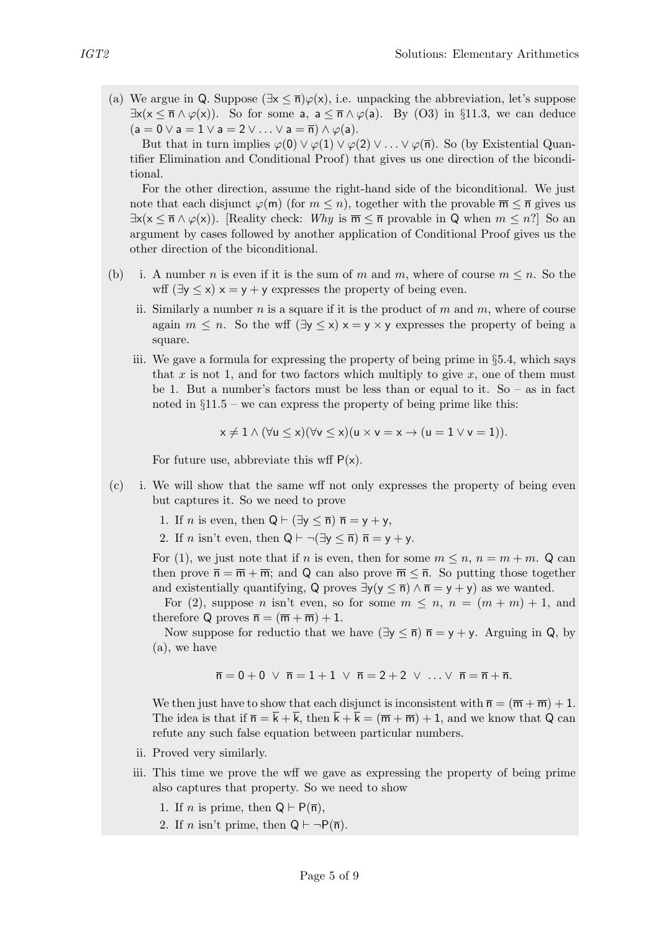(a) We argue in Q. Suppose  $(\exists x \leq \overline{n})\varphi(x)$ , i.e. unpacking the abbreviation, let's suppose  $\exists x(x \leq \overline{n} \wedge \varphi(x))$ . So for some a,  $a \leq \overline{n} \wedge \varphi(a)$ . By (O3) in §11.3, we can deduce  $(a = 0 \vee a = 1 \vee a = 2 \vee \dots \vee a = \overline{n}) \wedge \varphi(a).$ 

But that in turn implies  $\varphi(0) \vee \varphi(1) \vee \varphi(2) \vee \ldots \vee \varphi(\overline{n})$ . So (by Existential Quantifier Elimination and Conditional Proof) that gives us one direction of the biconditional.

For the other direction, assume the right-hand side of the biconditional. We just note that each disjunct  $\varphi(m)$  (for  $m \leq n$ ), together with the provable  $\overline{m} \leq \overline{n}$  gives us  $\exists x(x \leq \overline{n} \wedge \varphi(x))$ . [Reality check: Why is  $\overline{m} \leq \overline{n}$  provable in Q when  $m \leq n$ ?] So an argument by cases followed by another application of Conditional Proof gives us the other direction of the biconditional.

- (b) i. A number n is even if it is the sum of m and m, where of course  $m \leq n$ . So the wff  $(\exists y \leq x)$   $x = y + y$  expresses the property of being even.
	- ii. Similarly a number n is a square if it is the product of m and m, where of course again  $m \leq n$ . So the wff  $(\exists y \leq x) \times y \times y$  expresses the property of being a square.
	- iii. We gave a formula for expressing the property of being prime in §5.4, which says that x is not 1, and for two factors which multiply to give  $x$ , one of them must be 1. But a number's factors must be less than or equal to it. So – as in fact noted in  $§11.5$  – we can express the property of being prime like this:

$$
x \neq 1 \land (\forall u \leq x)(\forall v \leq x)(u \times v = x \rightarrow (u = 1 \lor v = 1)).
$$

For future use, abbreviate this wff  $P(x)$ .

- (c) i. We will show that the same wff not only expresses the property of being even but captures it. So we need to prove
	- 1. If *n* is even, then  $Q \vdash (\exists y \leq \overline{n}) \overline{n} = y + y$ ,
	- 2. If *n* isn't even, then  $Q \vdash \neg (\exists y \leq \overline{n}) \overline{n} = y + y$ .

For (1), we just note that if n is even, then for some  $m \leq n$ ,  $n = m + m$ . Q can then prove  $\bar{n} = \bar{m} + \bar{m}$ ; and Q can also prove  $\bar{m} \leq \bar{n}$ . So putting those together and existentially quantifying, Q proves  $\exists y(y \leq \overline{n}) \land \overline{n} = y + y$  as we wanted.

For (2), suppose *n* isn't even, so for some  $m \leq n$ ,  $n = (m + m) + 1$ , and therefore Q proves  $\overline{n} = (\overline{m} + \overline{m}) + 1$ .

Now suppose for reductio that we have  $(\exists y \leq \overline{n}) \overline{n} = y + y$ . Arguing in Q, by (a), we have

$$
\overline{n}=0+0 \hspace{0.2cm}\vee\hspace{0.2cm} \overline{n}=1+1 \hspace{0.2cm}\vee\hspace{0.2cm} \overline{n}=2+2 \hspace{0.2cm}\vee\hspace{0.2cm}\ldots \vee\hspace{0.2cm}\overline{n}=\overline{n}+\overline{n}.
$$

We then just have to show that each disjunct is inconsistent with  $\bar{n} = (\bar{m} + \bar{m}) + 1$ . The idea is that if  $\overline{n} = \overline{k} + \overline{k}$ , then  $\overline{k} + \overline{k} = (\overline{m} + \overline{m}) + 1$ , and we know that Q can refute any such false equation between particular numbers.

- ii. Proved very similarly.
- iii. This time we prove the wff we gave as expressing the property of being prime also captures that property. So we need to show
	- 1. If *n* is prime, then  $Q \vdash P(\overline{n})$ ,
	- 2. If *n* isn't prime, then  $Q \vdash \neg P(\overline{n})$ .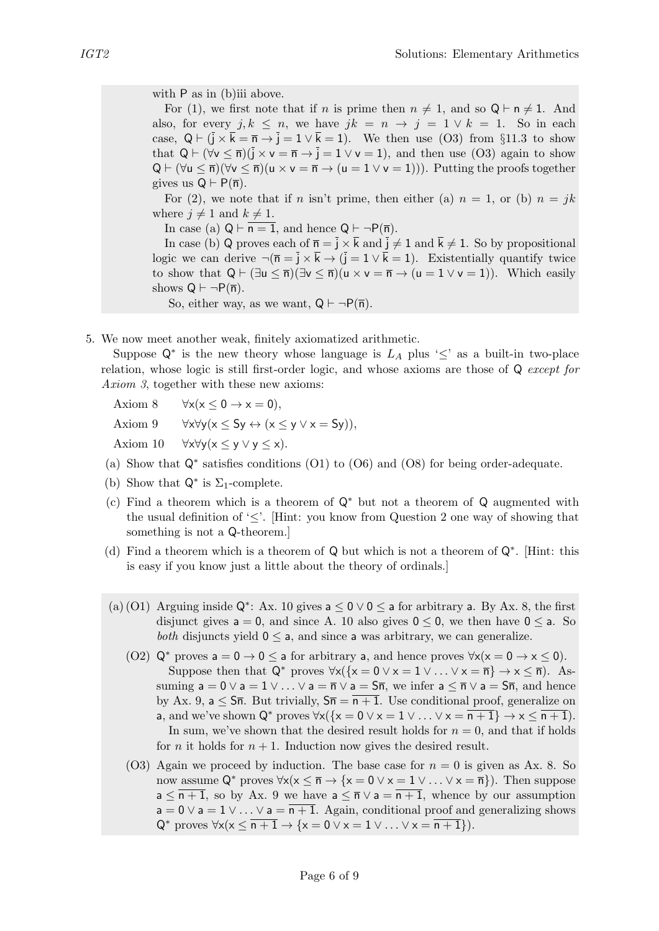with P as in (b)iii above.

For (1), we first note that if n is prime then  $n \neq 1$ , and so  $\mathsf{Q} \vdash \mathsf{n} \neq 1$ . And also, for every  $j, k \leq n$ , we have  $jk = n \rightarrow j = 1 \vee k = 1$ . So in each case,  $Q \vdash (\bar{j} \times \bar{k} = \bar{n} \rightarrow \bar{j} = 1 \vee \bar{k} = 1)$ . We then use (O3) from §11.3 to show that  $Q \vdash (\forall v \leq \overline{n})(\overline{j} \times v = \overline{n} \rightarrow \overline{j} = 1 \vee v = 1)$ , and then use (O3) again to show  $Q \vdash (\forall u \leq \overline{n})(\forall v \leq \overline{n})(u \times v = \overline{n} \rightarrow (u = 1 \vee v = 1))).$  Putting the proofs together gives us  $Q \vdash P(\overline{n})$ .

For (2), we note that if n isn't prime, then either (a)  $n = 1$ , or (b)  $n = jk$ where  $j \neq 1$  and  $k \neq 1$ .

In case (a)  $Q \vdash \overline{n=1}$ , and hence  $Q \vdash \neg P(\overline{n})$ .

In case (b) Q proves each of  $\bar{n} = \bar{j} \times \bar{k}$  and  $\bar{j} \neq 1$  and  $\bar{k} \neq 1$ . So by propositional logic we can derive  $\neg(\overline{n} = \overline{j} \times \overline{k} \rightarrow (\overline{j} = 1 \vee \overline{k} = 1)$ . Existentially quantify twice to show that  $Q \vdash (\exists u \leq \overline{n})(\exists v \leq \overline{n})(u \times v = \overline{n} \rightarrow (u = 1 \vee v = 1)).$  Which easily shows  $Q \vdash \neg P(\overline{n})$ .

So, either way, as we want,  $Q \vdash \neg P(\overline{n})$ .

5. We now meet another weak, finitely axiomatized arithmetic.

Suppose  $\mathsf{Q}^*$  is the new theory whose language is  $L_A$  plus ' $\leq$ ' as a built-in two-place relation, whose logic is still first-order logic, and whose axioms are those of Q except for Axiom 3, together with these new axioms:

Axiom 8  $\forall x(x \leq 0 \rightarrow x = 0)$ ,

Axiom 9  $\forall x \forall y (x \le Sy \leftrightarrow (x \le y \lor x = Sy)),$ 

Axiom 10  $\forall x \forall y (x \leq y \lor y \leq x)$ .

- (a) Show that Q<sup>∗</sup> satisfies conditions (O1) to (O6) and (O8) for being order-adequate.
- (b) Show that  $\mathsf{Q}^*$  is  $\Sigma_1$ -complete.
- (c) Find a theorem which is a theorem of Q<sup>∗</sup> but not a theorem of Q augmented with the usual definition of ' $\leq'$ . Hint: you know from Question 2 one way of showing that something is not a Q-theorem.]
- (d) Find a theorem which is a theorem of Q but which is not a theorem of Q<sup>∗</sup> . [Hint: this is easy if you know just a little about the theory of ordinals.]
- (a)(O1) Arguing inside  $\mathsf{Q}^*$ : Ax. 10 gives  $a \leq 0 \vee 0 \leq a$  for arbitrary a. By Ax. 8, the first disjunct gives  $a = 0$ , and since A. 10 also gives  $0 \le 0$ , we then have  $0 \le a$ . So *both* disjuncts yield  $0 \le a$ , and since a was arbitrary, we can generalize.
	- (O2)  $Q^*$  proves  $a = 0 \rightarrow 0 \le a$  for arbitrary a, and hence proves  $\forall x(x = 0 \rightarrow x \le 0)$ . Suppose then that  $Q^*$  proves  $\forall x (\{x = 0 \lor x = 1 \lor ... \lor x = \overline{n}\} \rightarrow x \leq \overline{n}).$  Assuming  $a = 0 \vee a = 1 \vee \ldots \vee a = \overline{n} \vee a = \overline{5n}$ , we infer  $a \leq \overline{n} \vee a = \overline{5n}$ , and hence by Ax. 9,  $a \leq S\overline{n}$ . But trivially,  $S\overline{n} = \overline{n+1}$ . Use conditional proof, generalize on a, and we've shown  $Q^*$  proves  $\forall x({x = 0 \lor x = 1 \lor ... \lor x = \overline{n+1}} \rightarrow x < \overline{n+1}).$ In sum, we've shown that the desired result holds for  $n = 0$ , and that if holds for *n* it holds for  $n + 1$ . Induction now gives the desired result.
	- (O3) Again we proceed by induction. The base case for  $n = 0$  is given as Ax. 8. So now assume  $Q^*$  proves  $\forall x(x \leq \overline{n} \to \{x = 0 \vee x = 1 \vee \ldots \vee x = \overline{n}\})$ . Then suppose  $a \leq \overline{n+1}$ , so by Ax. 9 we have  $a \leq \overline{n} \vee a = \overline{n+1}$ , whence by our assumption  $a = 0 \vee a = 1 \vee \ldots \vee a = \overline{n+1}$ . Again, conditional proof and generalizing shows  $Q^*$  proves  $\forall x (x \leq n+1 \rightarrow \{x = 0 \lor x = 1 \lor ... \lor x = n+1\}).$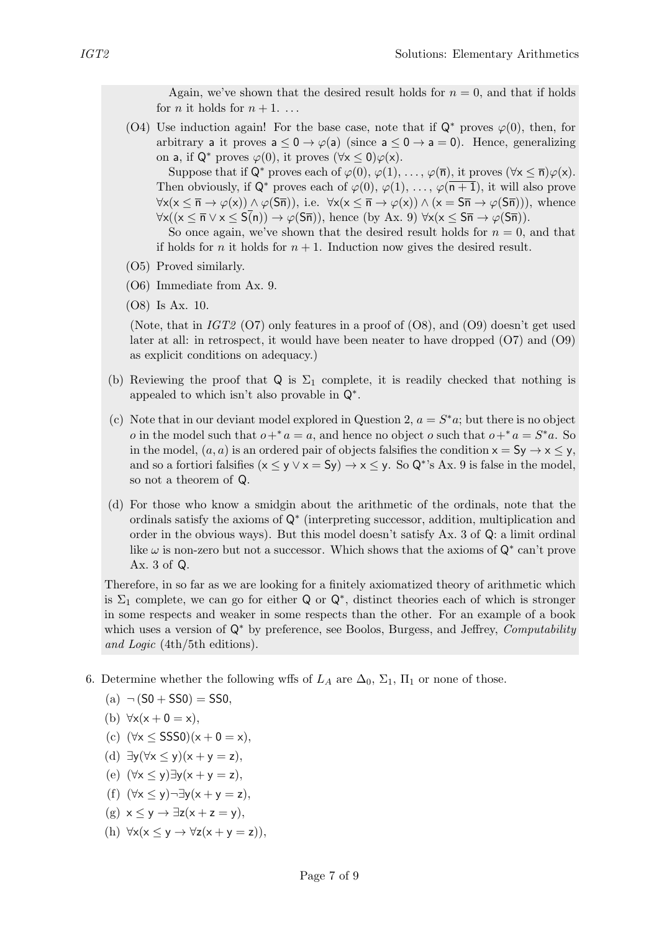Again, we've shown that the desired result holds for  $n = 0$ , and that if holds for *n* it holds for  $n + 1$ ...

(O4) Use induction again! For the base case, note that if  $\mathsf{Q}^*$  proves  $\varphi(0)$ , then, for arbitrary a it proves  $a < 0 \rightarrow \varphi(a)$  (since  $a < 0 \rightarrow a = 0$ ). Hence, generalizing on a, if  $\mathsf{Q}^*$  proves  $\varphi(0)$ , it proves  $(\forall x \leq 0) \varphi(x)$ .

Suppose that if  $\mathsf{Q}^*$  proves each of  $\varphi(0), \varphi(1), \ldots, \varphi(\overline{n})$ , it proves  $(\forall x \leq \overline{n}) \varphi(x)$ . Then obviously, if  $\mathsf{Q}^*$  proves each of  $\varphi(0), \varphi(1), \ldots, \varphi(\overline{n+1})$ , it will also prove  $\forall x(x \leq \overline{n} \rightarrow \varphi(x)) \land \varphi(S\overline{n}))$ , i.e.  $\forall x(x \leq \overline{n} \rightarrow \varphi(x)) \land (x = S\overline{n} \rightarrow \varphi(S\overline{n})))$ , whence  $\forall x((x \leq \overline{n} \lor x \leq S(n)) \to \varphi(S\overline{n}))$ , hence (by Ax. 9)  $\forall x(x \leq S\overline{n} \to \varphi(S\overline{n}))$ .

So once again, we've shown that the desired result holds for  $n = 0$ , and that if holds for *n* it holds for  $n + 1$ . Induction now gives the desired result.

- (O5) Proved similarly.
- (O6) Immediate from Ax. 9.
- (O8) Is Ax. 10.

(Note, that in  $IGT2$  (O7) only features in a proof of (O8), and (O9) doesn't get used later at all: in retrospect, it would have been neater to have dropped (O7) and (O9) as explicit conditions on adequacy.)

- (b) Reviewing the proof that Q is  $\Sigma_1$  complete, it is readily checked that nothing is appealed to which isn't also provable in Q<sup>∗</sup> .
- (c) Note that in our deviant model explored in Question 2,  $a = S^* a$ ; but there is no object o in the model such that  $o+^* a = a$ , and hence no object o such that  $o+^* a = S^* a$ . So in the model,  $(a, a)$  is an ordered pair of objects falsifies the condition  $x = Sy \rightarrow x \leq y$ , and so a fortiori falsifies  $(x \le y \lor x = Sy) \rightarrow x \le y$ . So Q<sup>\*</sup>'s Ax. 9 is false in the model, so not a theorem of Q.
- (d) For those who know a smidgin about the arithmetic of the ordinals, note that the ordinals satisfy the axioms of Q<sup>∗</sup> (interpreting successor, addition, multiplication and order in the obvious ways). But this model doesn't satisfy Ax. 3 of Q: a limit ordinal like  $\omega$  is non-zero but not a successor. Which shows that the axioms of  $\mathsf{Q}^*$  can't prove Ax. 3 of Q.

Therefore, in so far as we are looking for a finitely axiomatized theory of arithmetic which is  $\Sigma_1$  complete, we can go for either Q or Q<sup>\*</sup>, distinct theories each of which is stronger in some respects and weaker in some respects than the other. For an example of a book which uses a version of  $\mathsf{Q}^*$  by preference, see Boolos, Burgess, and Jeffrey, *Computability* and Logic (4th/5th editions).

- 6. Determine whether the following wffs of  $L_A$  are  $\Delta_0$ ,  $\Sigma_1$ ,  $\Pi_1$  or none of those.
	- (a)  $\neg (50 + 550) = 550$ .
	- (b)  $\forall x(x+0=x),$
	- (c)  $(\forall x \leq SSS0)(x + 0 = x),$
	- (d)  $\exists y (\forall x \le y)(x + y = z),$
	- (e)  $(\forall x \le y) \exists y (x + y = z),$
	- (f)  $(\forall x \le y) \neg \exists y (x + y = z),$
	- $(g)$   $x \le y \rightarrow \exists z(x + z = y),$
	- (h)  $\forall x(x \leq y \rightarrow \forall z(x + y = z))$ ,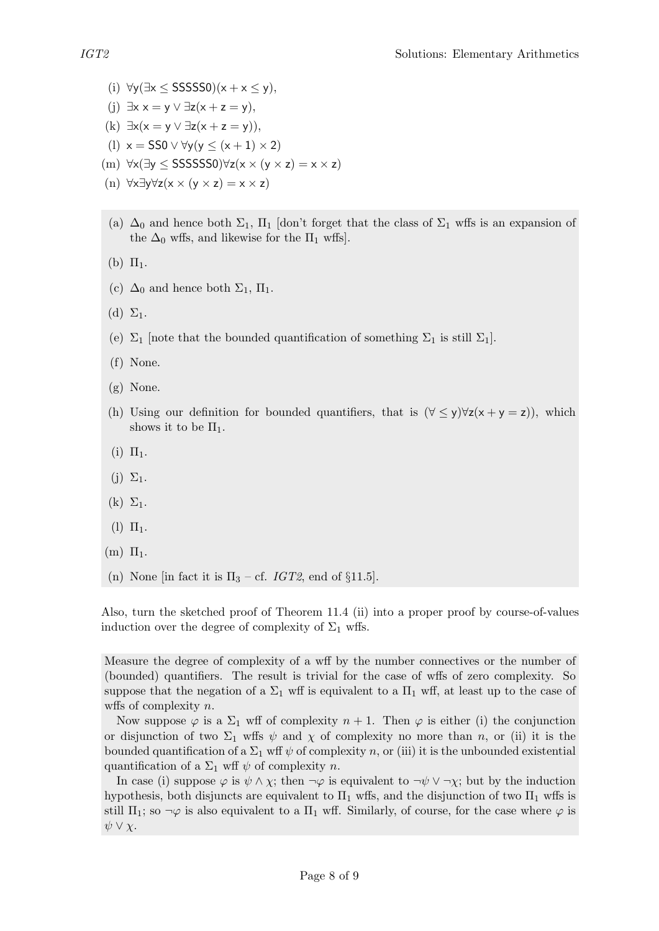- (i)  $\forall y (\exists x \leq SSSSS0)(x + x \leq y),$
- (i)  $\exists x \ x = y \lor \exists z(x + z = y),$
- (k)  $\exists x(x=y \vee \exists z(x+z=y)),$
- (1)  $x =$  SS0  $\vee \forall y (y \leq (x + 1) \times 2)$
- (m) ∀x(∃y ≤ SSSSSS0)∀z(x × (y × z) = x × z)
- (n) ∀x∃y∀z(x × (y × z) = x × z)
- (a)  $\Delta_0$  and hence both  $\Sigma_1$ ,  $\Pi_1$  [don't forget that the class of  $\Sigma_1$  wffs is an expansion of the  $\Delta_0$  wffs, and likewise for the  $\Pi_1$  wffs.
- (b)  $\Pi_1$ .
- (c)  $\Delta_0$  and hence both  $\Sigma_1$ ,  $\Pi_1$ .
- (d)  $\Sigma_1$ .
- (e)  $\Sigma_1$  [note that the bounded quantification of something  $\Sigma_1$  is still  $\Sigma_1$ ].
- (f) None.
- (g) None.
- (h) Using our definition for bounded quantifiers, that is  $(\forall \leq y) \forall z(x + y = z)$ , which shows it to be  $\Pi_1$ .
- (i)  $\Pi_1$ .
- $(j)$   $\Sigma_1$ .
- $(k)$   $\Sigma_1$ .
- $(l)$   $\Pi_1$ .
- $(m)$   $\Pi_1$ .
- (n) None [in fact it is  $\Pi_3$  cf. *IGT2*, end of §11.5].

Also, turn the sketched proof of Theorem 11.4 (ii) into a proper proof by course-of-values induction over the degree of complexity of  $\Sigma_1$  wffs.

Measure the degree of complexity of a wff by the number connectives or the number of (bounded) quantifiers. The result is trivial for the case of wffs of zero complexity. So suppose that the negation of a  $\Sigma_1$  wff is equivalent to a  $\Pi_1$  wff, at least up to the case of wffs of complexity  $n$ .

Now suppose  $\varphi$  is a  $\Sigma_1$  wff of complexity  $n+1$ . Then  $\varphi$  is either (i) the conjunction or disjunction of two  $\Sigma_1$  wffs  $\psi$  and  $\chi$  of complexity no more than n, or (ii) it is the bounded quantification of a  $\Sigma_1$  wff  $\psi$  of complexity n, or (iii) it is the unbounded existential quantification of a  $\Sigma_1$  wff  $\psi$  of complexity n.

In case (i) suppose  $\varphi$  is  $\psi \wedge \chi$ ; then  $\neg \varphi$  is equivalent to  $\neg \psi \vee \neg \chi$ ; but by the induction hypothesis, both disjuncts are equivalent to  $\Pi_1$  wffs, and the disjunction of two  $\Pi_1$  wffs is still  $\Pi_1$ ; so  $\neg \varphi$  is also equivalent to a  $\Pi_1$  wff. Similarly, of course, for the case where  $\varphi$  is  $\psi \vee \chi$ .